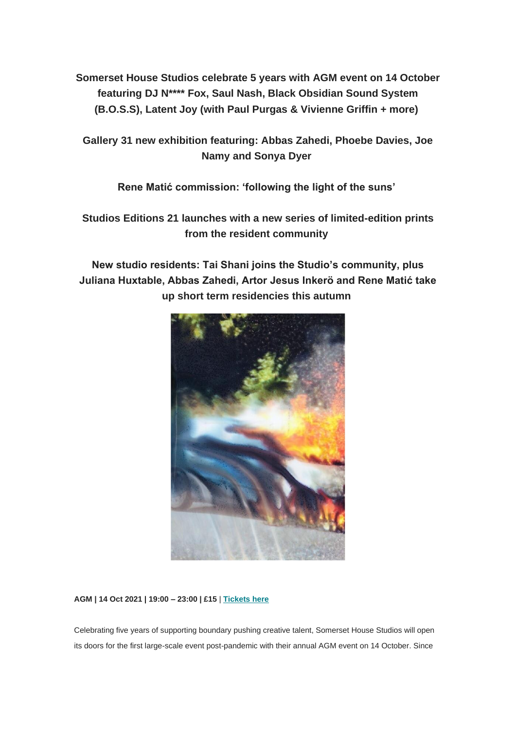**Somerset House Studios celebrate 5 years with AGM event on 14 October featuring DJ N\*\*\*\* Fox, Saul Nash, Black Obsidian Sound System (B.O.S.S), Latent Joy (with Paul Purgas & Vivienne Griffin + more)**

**Gallery 31 new exhibition featuring: Abbas Zahedi, Phoebe Davies, Joe Namy and Sonya Dyer**

**Rene Matić commission: 'following the light of the suns'**

**Studios Editions 21 launches with a new series of limited-edition prints from the resident community**

**New studio residents: Tai Shani joins the Studio's community, plus Juliana Huxtable, Abbas Zahedi, Artor Jesus Inkerö and Rene Matić take up short term residencies this autumn**



**AGM | 14 Oct 2021 | 19:00 – 23:00 | £15** | **[Tickets here](https://www.somersethouse.org.uk/whats-on/agm-2021)**

Celebrating five years of supporting boundary pushing creative talent, Somerset House Studios will open its doors for the first large-scale event post-pandemic with their annual AGM event on 14 October. Since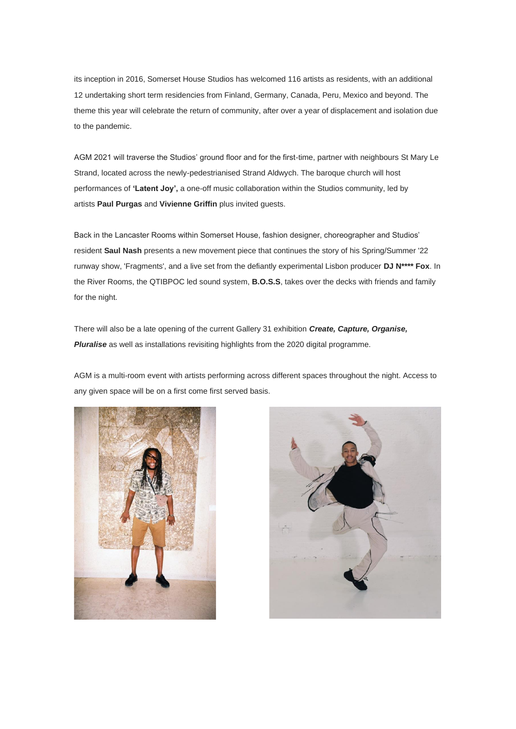its inception in 2016, Somerset House Studios has welcomed 116 artists as residents, with an additional 12 undertaking short term residencies from Finland, Germany, Canada, Peru, Mexico and beyond. The theme this year will celebrate the return of community, after over a year of displacement and isolation due to the pandemic.

AGM 2021 will traverse the Studios' ground floor and for the first-time, partner with neighbours St Mary Le Strand, located across the newly-pedestrianised Strand Aldwych. The baroque church will host performances of **'Latent Joy',** a one-off music collaboration within the Studios community, led by artists **Paul Purgas** and **Vivienne Griffin** plus invited guests.

Back in the Lancaster Rooms within Somerset House, fashion designer, choreographer and Studios' resident **Saul Nash** presents a new movement piece that continues the story of his Spring/Summer '22 runway show, 'Fragments', and a live set from the defiantly experimental Lisbon producer **DJ N\*\*\*\* Fox**. In the River Rooms, the QTIBPOC led sound system, **B.O.S.S**, takes over the decks with friends and family for the night.

There will also be a late opening of the current Gallery 31 exhibition *Create, Capture, Organise, Pluralise* as well as installations revisiting highlights from the 2020 digital programme.

AGM is a multi-room event with artists performing across different spaces throughout the night. Access to any given space will be on a first come first served basis.



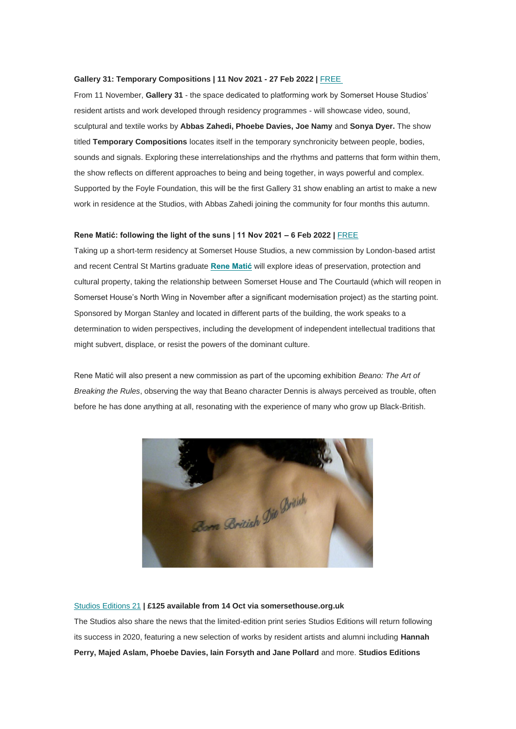#### **Gallery 31: Temporary Compositions | 11 Nov 2021 - 27 Feb 2022 |** [FREE](https://www.somersethouse.org.uk/whats-on/gallery-31-temporary-compositions)

From 11 November, **Gallery 31** - the space dedicated to platforming work by Somerset House Studios' resident artists and work developed through residency programmes - will showcase video, sound, sculptural and textile works by **Abbas Zahedi, Phoebe Davies, Joe Namy** and **Sonya Dyer.** The show titled **Temporary Compositions** locates itself in the temporary synchronicity between people, bodies, sounds and signals. Exploring these interrelationships and the rhythms and patterns that form within them, the show reflects on different approaches to being and being together, in ways powerful and complex. Supported by the Foyle Foundation, this will be the first Gallery 31 show enabling an artist to make a new work in residence at the Studios, with Abbas Zahedi joining the community for four months this autumn.

## **Rene Matić: following the light of the suns | 11 Nov 2021 – 6 Feb 2022 |** [FREE](https://www.somersethouse.org.uk/residents/rene-matic)

Taking up a short-term residency at Somerset House Studios, a new commission by London-based artist and recent Central St Martins graduate **[Rene Matić](https://www.somersethouse.org.uk/residents/rene-matic)** will explore ideas of preservation, protection and cultural property, taking the relationship between Somerset House and The Courtauld (which will reopen in Somerset House's North Wing in November after a significant modernisation project) as the starting point. Sponsored by Morgan Stanley and located in different parts of the building, the work speaks to a determination to widen perspectives, including the development of independent intellectual traditions that might subvert, displace, or resist the powers of the dominant culture.

Rene Matić will also present a new commission as part of the upcoming exhibition *Beano: The Art of Breaking the Rules*, observing the way that Beano character Dennis is always perceived as trouble, often before he has done anything at all, resonating with the experience of many who grow up Black-British.



## [Studios Editions 21](https://www.somersethouse.org.uk/studios-editions-21) **| £125 available from 14 Oct via somersethouse.org.uk**

The Studios also share the news that the limited-edition print series Studios Editions will return following its success in 2020, featuring a new selection of works by resident artists and alumni including **Hannah Perry, Majed Aslam, Phoebe Davies, Iain Forsyth and Jane Pollard** and more. **Studios Editions**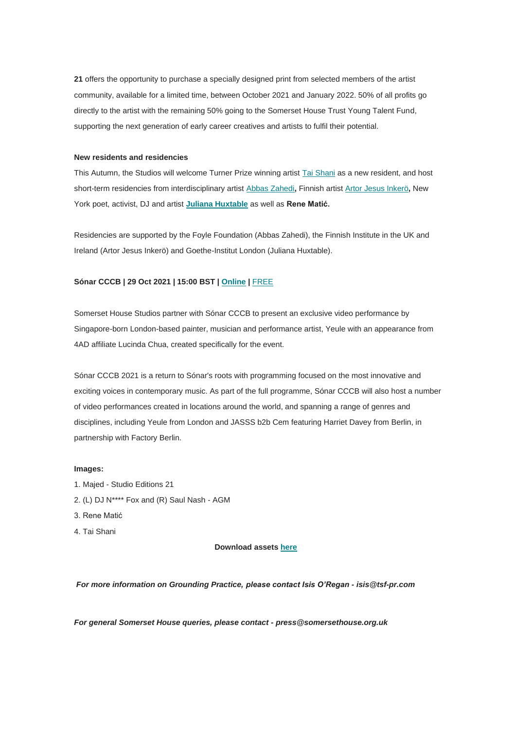**21** offers the opportunity to purchase a specially designed print from selected members of the artist community, available for a limited time, between October 2021 and January 2022. 50% of all profits go directly to the artist with the remaining 50% going to the Somerset House Trust Young Talent Fund, supporting the next generation of early career creatives and artists to fulfil their potential.

## **New residents and residencies**

This Autumn, the Studios will welcome Turner Prize winning artist [Tai Shani](https://www.somersethouse.org.uk/residents/tai-shani) as a new resident, and host short-term residencies from interdisciplinary artist [Abbas Zahedi](https://www.somersethouse.org.uk/residents/abbas-zahedi)**,** Finnish artist [Artor Jesus Inkerö](https://www.somersethouse.org.uk/residents/artor-jesus-inkero)**,** New York poet, activist, DJ and artist **[Juliana Huxtable](https://www.somersethouse.org.uk/residents/juliana-huxtable)** as well as **Rene Matić.**

Residencies are supported by the Foyle Foundation (Abbas Zahedi), the Finnish Institute in the UK and Ireland (Artor Jesus Inkerö) and Goethe-Institut London (Juliana Huxtable).

# **Sónar CCCB | 29 Oct 2021 | 15:00 BST | [Online](https://cccb.sonar.es/) |** FREE

Somerset House Studios partner with Sónar CCCB to present an exclusive video performance by Singapore-born London-based painter, musician and performance artist, Yeule with an appearance from 4AD affiliate Lucinda Chua, created specifically for the event.

Sónar CCCB 2021 is a return to Sónar's roots with programming focused on the most innovative and exciting voices in contemporary music. As part of the full programme, Sónar CCCB will also host a number of video performances created in locations around the world, and spanning a range of genres and disciplines, including Yeule from London and JASSS b2b Cem featuring Harriet Davey from Berlin, in partnership with Factory Berlin.

## **Images:**

- 1. Majed Studio Editions 21
- 2. (L) DJ N\*\*\*\* Fox and (R) Saul Nash AGM
- 3. Rene Matić
- 4. Tai Shani

## **Download assets [here](https://drive.google.com/drive/folders/1Os71PDX2zMhD4MBMy3Xt-d4ZEIxzT8CE?usp=sharing)**

*For more information on Grounding Practice, please contact Isis O'Regan - isis@tsf-pr.com*

*For general Somerset House queries, please contact - press@somersethouse.org.uk*